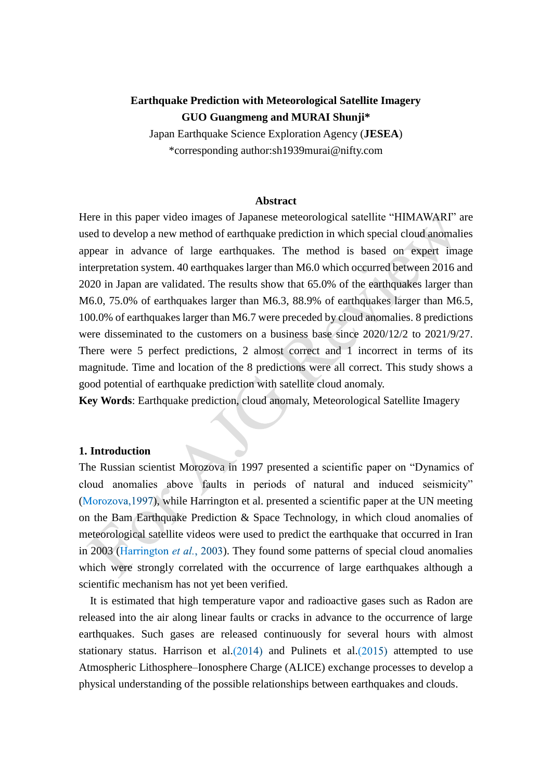# **Earthquake Prediction with Meteorological Satellite Imagery GUO Guangmeng and MURAI Shunji\***

Japan Earthquake Science Exploration Agency (**JESEA**) \*corresponding author:sh1939murai@nifty.com

#### **Abstract**

Here in this paper video images of Japanese meteorological satellite "HIMAWARI" are used to develop a new method of earthquake prediction in which special cloud anomalies appear in advance of large earthquakes. The method is based on expert image interpretation system. 40 earthquakes larger than M6.0 which occurred between 2016 and 2020 in Japan are validated. The results show that 65.0% of the earthquakes larger than M6.0, 75.0% of earthquakes larger than M6.3, 88.9% of earthquakes larger than M6.5, 100.0% of earthquakes larger than M6.7 were preceded by cloud anomalies. 8 predictions were disseminated to the customers on a business base since 2020/12/2 to 2021/9/27. There were 5 perfect predictions, 2 almost correct and 1 incorrect in terms of its magnitude. Time and location of the 8 predictions were all correct. This study shows a good potential of earthquake prediction with satellite cloud anomaly.

**Key Words:** Earthquake prediction, cloud anomaly, Meteorological Satellite Imagery

#### **1. Introduction**

The Russian scientist Morozova in 1997 presented a scientific paper on "Dynamics of cloud anomalies above faults in periods of natural and induced seismicity" (Morozova, 1997), while Harrington et al. presented a scientific paper at the UN meeting on the Bam Earthquake Prediction & Space Technology, in which cloud anomalies of meteorological satellite videos were used to predict the earthquake that occurred in Iran in 2003 (Harrington *et al.*, 2003). They found some patterns of special cloud anomalies which were strongly correlated with the occurrence of large earthquakes although a scientific mechanism has not yet been verified.

It is estimated that high temperature vapor and radioactive gases such as Radon are released into the air along linear faults or cracks in advance to the occurrence of large earthquakes. Such gases are released continuously for several hours with almost stationary status. Harrison et al.  $(2014)$  and Pulinets et al.  $(2015)$  attempted to use Atmospheric Lithosphere–Ionosphere Charge (ALICE) exchange processes to develop a physical understanding of the possible relationships between earthquakes and clouds.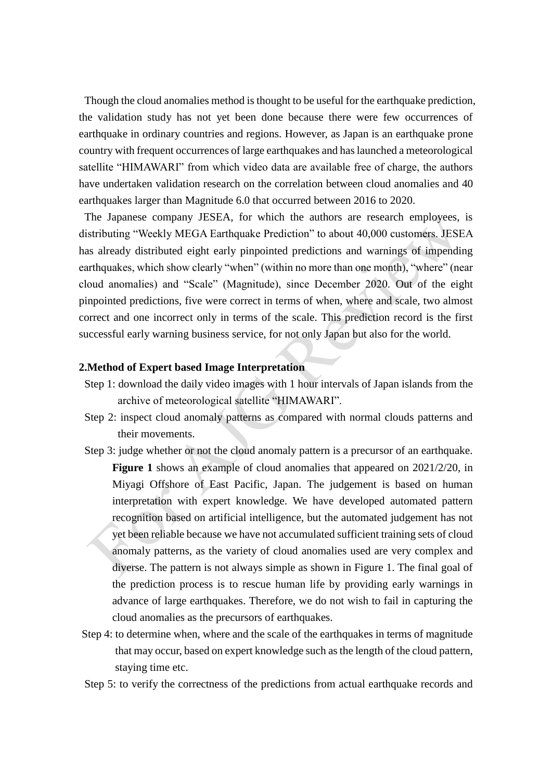Though the cloud anomalies method is thought to be useful for the earthquake prediction, the validation study has not yet been done because there were few occurrences of earthquake in ordinary countries and regions. However, as Japan is an earthquake prone country with frequent occurrences of large earthquakes and has launched a meteorological satellite "HIMAWARI" from which video data are available free of charge, the authors have undertaken validation research on the correlation between cloud anomalies and 40 earthquakes larger than Magnitude 6.0 that occurred between 2016 to 2020.

The Japanese company JESEA, for which the authors are research employees, is distributing "Weekly MEGA Earthquake Prediction" to about 40,000 customers. JESEA has already distributed eight early pinpointed predictions and warnings of impending earthquakes, which show clearly "when" (within no more than one month), "where" (near cloud anomalies) and "Scale" (Magnitude), since December 2020. Out of the eight pinpointed predictions, five were correct in terms of when, where and scale, two almost correct and one incorrect only in terms of the scale. This prediction record is the first successful early warning business service, for not only Japan but also for the world.

### **2.Method of Expert based Image Interpretation**

- Step 1: download the daily video images with 1 hour intervals of Japan islands from the archive of meteorological satellite "HIMAWARI".
- Step 2: inspect cloud anomaly patterns as compared with normal clouds patterns and their movements.
- Step 3: judge whether or not the cloud anomaly pattern is a precursor of an earthquake. **Figure 1** shows an example of cloud anomalies that appeared on 2021/2/20, in Miyagi Offshore of East Pacific, Japan. The judgement is based on human interpretation with expert knowledge. We have developed automated pattern recognition based on artificial intelligence, but the automated judgement has not yet been reliable because we have not accumulated sufficient training sets of cloud anomaly patterns, as the variety of cloud anomalies used are very complex and diverse. The pattern is not always simple as shown in Figure 1. The final goal of the prediction process is to rescue human life by providing early warnings in advance of large earthquakes. Therefore, we do not wish to fail in capturing the cloud anomalies as the precursors of earthquakes.
- Step 4: to determine when, where and the scale of the earthquakes in terms of magnitude that may occur, based on expert knowledge such as the length of the cloud pattern, staying time etc.
- Step 5: to verify the correctness of the predictions from actual earthquake records and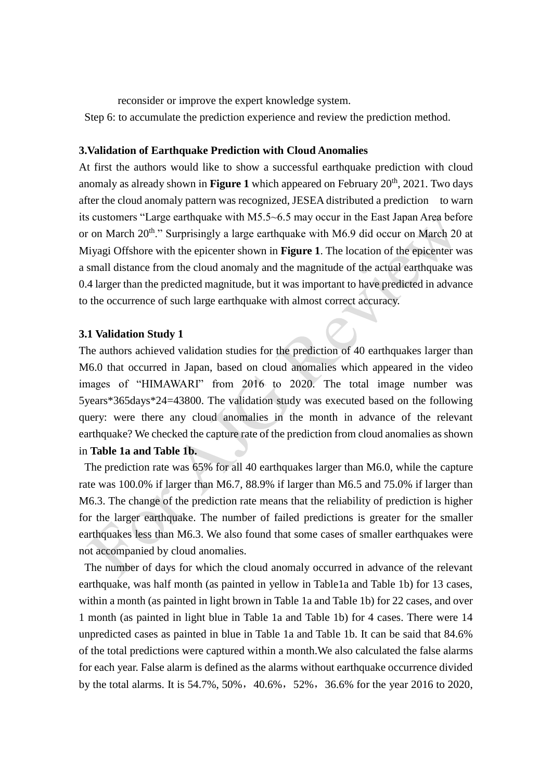reconsider or improve the expert knowledge system.

Step 6: to accumulate the prediction experience and review the prediction method.

### **3.Validation of Earthquake Prediction with Cloud Anomalies**

At first the authors would like to show a successful earthquake prediction with cloud anomaly as already shown in **Figure 1** which appeared on February  $20<sup>th</sup>$ ,  $2021$ . Two days after the cloud anomaly pattern was recognized, JESEA distributed a prediction to warn its customers "Large earthquake with M5.5~6.5 may occur in the East Japan Area before or on March 20<sup>th</sup>." Surprisingly a large earthquake with M6.9 did occur on March 20 at Miyagi Offshore with the epicenter shown in **Figure 1**. The location of the epicenter was a small distance from the cloud anomaly and the magnitude of the actual earthquake was 0.4 larger than the predicted magnitude, but it was important to have predicted in advance to the occurrence of such large earthquake with almost correct accuracy.

#### **3.1 Validation Study 1**

The authors achieved validation studies for the prediction of 40 earthquakes larger than M6.0 that occurred in Japan, based on cloud anomalies which appeared in the video images of "HIMAWARI" from 2016 to 2020. The total image number was 5years\*365days\*24=43800. The validation study was executed based on the following query: were there any cloud anomalies in the month in advance of the relevant earthquake? We checked the capture rate of the prediction from cloud anomalies as shown in **Table 1a and Table 1b.**

The prediction rate was 65% for all 40 earthquakes larger than M6.0, while the capture rate was 100.0% if larger than M6.7, 88.9% if larger than M6.5 and 75.0% if larger than M6.3. The change of the prediction rate means that the reliability of prediction is higher for the larger earthquake. The number of failed predictions is greater for the smaller earthquakes less than M6.3. We also found that some cases of smaller earthquakes were not accompanied by cloud anomalies.

The number of days for which the cloud anomaly occurred in advance of the relevant earthquake, was half month (as painted in yellow in Table1a and Table 1b) for 13 cases, within a month (as painted in light brown in Table 1a and Table 1b) for 22 cases, and over 1 month (as painted in light blue in Table 1a and Table 1b) for 4 cases. There were 14 unpredicted cases as painted in blue in Table 1a and Table 1b. It can be said that 84.6% of the total predictions were captured within a month.We also calculated the false alarms for each year. False alarm is defined as the alarms without earthquake occurrence divided by the total alarms. It is 54.7%, 50%, 40.6%, 52%, 36.6% for the year 2016 to 2020,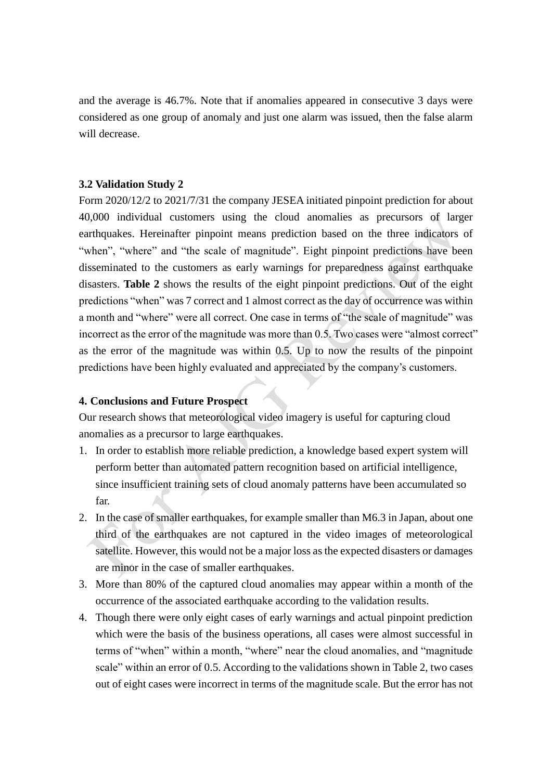and the average is 46.7%. Note that if anomalies appeared in consecutive 3 days were considered as one group of anomaly and just one alarm was issued, then the false alarm will decrease.

## **3.2 Validation Study 2**

Form 2020/12/2 to 2021/7/31 the company JESEA initiated pinpoint prediction for about 40,000 individual customers using the cloud anomalies as precursors of larger earthquakes. Hereinafter pinpoint means prediction based on the three indicators of "when", "where" and "the scale of magnitude". Eight pinpoint predictions have been disseminated to the customers as early warnings for preparedness against earthquake disasters. **Table 2** shows the results of the eight pinpoint predictions. Out of the eight predictions "when" was 7 correct and 1 almost correct as the day of occurrence was within a month and "where" were all correct. One case in terms of "the scale of magnitude" was incorrect as the error of the magnitude was more than 0.5. Two cases were "almost correct" as the error of the magnitude was within 0.5. Up to now the results of the pinpoint predictions have been highly evaluated and appreciated by the company's customers.

## **4. Conclusions and Future Prospect**

Our research shows that meteorological video imagery is useful for capturing cloud anomalies as a precursor to large earthquakes.

- 1. In order to establish more reliable prediction, a knowledge based expert system will perform better than automated pattern recognition based on artificial intelligence, since insufficient training sets of cloud anomaly patterns have been accumulated so far.
- 2. In the case of smaller earthquakes, for example smaller than M6.3 in Japan, about one third of the earthquakes are not captured in the video images of meteorological satellite. However, this would not be a major loss as the expected disasters or damages are minor in the case of smaller earthquakes.
- 3. More than 80% of the captured cloud anomalies may appear within a month of the occurrence of the associated earthquake according to the validation results.
- 4. Though there were only eight cases of early warnings and actual pinpoint prediction which were the basis of the business operations, all cases were almost successful in terms of "when" within a month, "where" near the cloud anomalies, and "magnitude scale" within an error of 0.5. According to the validations shown in Table 2, two cases out of eight cases were incorrect in terms of the magnitude scale. But the error has not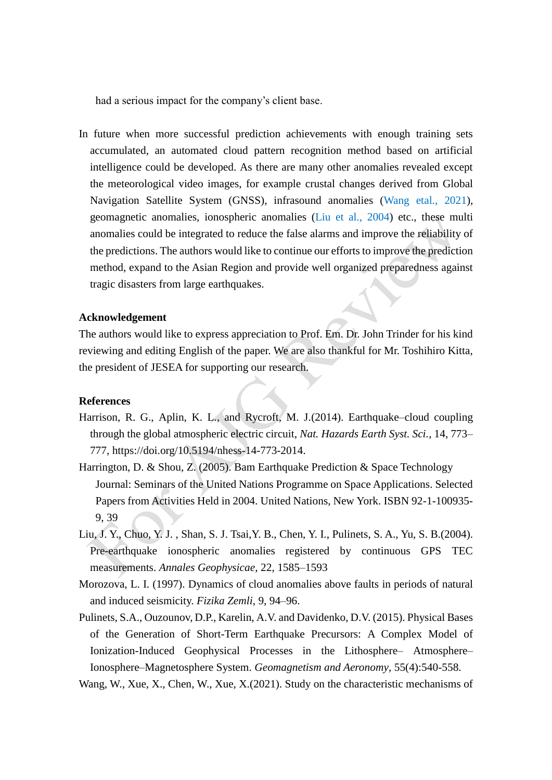had a serious impact for the company's client base.

In future when more successful prediction achievements with enough training sets accumulated, an automated cloud pattern recognition method based on artificial intelligence could be developed. As there are many other anomalies revealed except the meteorological video images, for example crustal changes derived from Global Navigation Satellite System (GNSS), infrasound anomalies (Wang etal., 2021), geomagnetic anomalies, ionospheric anomalies (Liu et al., 2004) etc., these multi anomalies could be integrated to reduce the false alarms and improve the reliability of the predictions. The authors would like to continue our efforts to improve the prediction method, expand to the Asian Region and provide well organized preparedness against tragic disasters from large earthquakes.

#### **Acknowledgement**

The authors would like to express appreciation to Prof. Em. Dr. John Trinder for his kind reviewing and editing English of the paper. We are also thankful for Mr. Toshihiro Kitta, the president of JESEA for supporting our research.

## **References**

- Harrison, R. G., Aplin, K. L., and Rycroft, M. J.(2014). Earthquake–cloud coupling through the global atmospheric electric circuit, *Nat. Hazards Earth Syst. Sci.*, 14, 773– 777, https://doi.org/10.5194/nhess-14-773-2014.
- Harrington, D. & Shou, Z. (2005). Bam Earthquake Prediction & Space Technology Journal: Seminars of the United Nations Programme on Space Applications. Selected Papers from Activities Held in 2004. United Nations, New York. ISBN 92-1-100935- 9, 39
- Liu, J. Y., Chuo, Y. J. , Shan, S. J. Tsai,Y. B., Chen, Y. I., Pulinets, S. A., Yu, S. B.(2004). Pre-earthquake ionospheric anomalies registered by continuous GPS TEC measurements. *Annales Geophysicae*, 22, 1585–1593
- Morozova, L. I. (1997). Dynamics of cloud anomalies above faults in periods of natural and induced seismicity. *Fizika Zemli*, 9, 94–96.
- Pulinets, S.A., Ouzounov, D.P., Karelin, A.V. and Davidenko, D.V. (2015). Physical Bases of the Generation of Short-Term Earthquake Precursors: A Complex Model of Ionization-Induced Geophysical Processes in the Lithosphere– Atmosphere– Ionosphere–Magnetosphere System. *Geomagnetism and Aeronomy*, 55(4):540-558.
- Wang, W., Xue, X., Chen, W., Xue, X.(2021). Study on the characteristic mechanisms of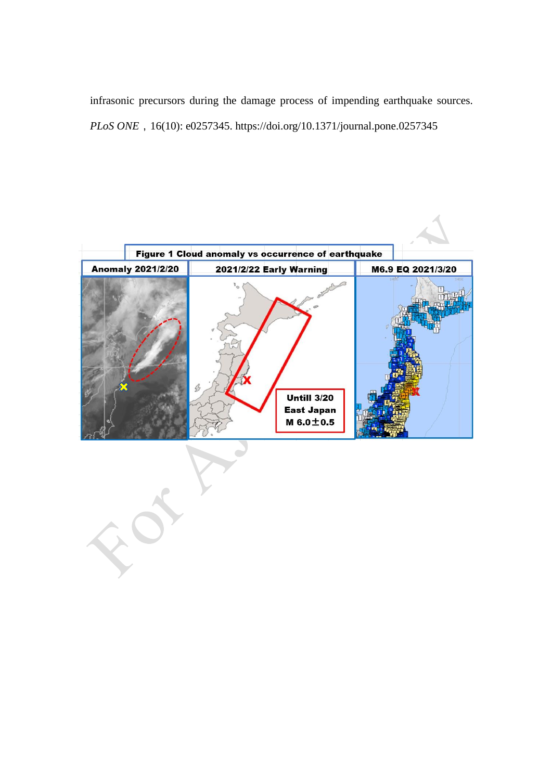infrasonic precursors during the damage process of impending earthquake sources. *PLoS ONE*, 16(10): e0257345. https://doi.org/10.1371/journal.pone.0257345



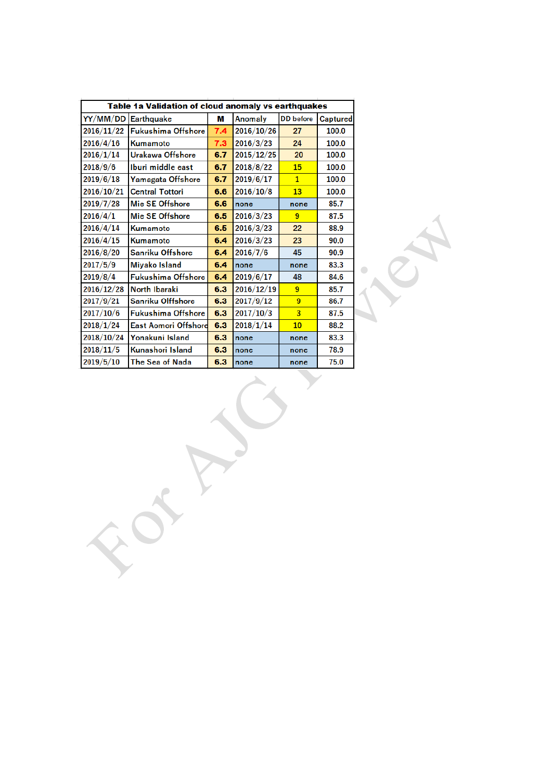| YY/MM/DD<br>М<br>Anomaly<br><b>DD</b> before<br>Earthquake<br>Captured<br>2016/11/22<br><b>Fukushima Offshore</b><br>2016/10/26<br>7.4<br>100.0<br>27<br>2016/4/16<br>7.3<br>2016/3/23<br>Kumamoto<br>24<br>100.0<br><b>Urakawa Offshore</b><br>2016/1/14<br>2015/12/25<br>20<br>100.0<br>6.7<br>Iburi middle east<br>2018/9/6<br>6.7<br>2018/8/22<br>15<br>100.0<br>2019/6/18<br>Yamagata Offshore<br>6.7<br>2019/6/17<br>$\mathbf{1}$<br>100.0<br>2016/10/21<br><b>Central Tottori</b><br>2016/10/8<br>100.0<br>6.6<br>13<br>2019/7/28<br>Mie SE Offshore<br>6.6<br>85.7<br>none<br>none<br>2016/4/1<br>Mie SE Offshore<br>6.5<br>2016/3/23<br>9<br>87.5<br>2016/4/14<br>6.5<br>2016/3/23<br>88.9<br>Kumamoto<br>22<br>2016/4/15<br>Kumamoto<br>6.4<br>2016/3/23<br>90.0<br>23<br>Sanriku Offshore<br>2016/8/20<br>2016/7/6<br>6.4<br>45<br>90.9<br>2017/5/9<br><b>Miyako Island</b><br>6.4<br>83.3<br>none<br>none<br>Fukushima Offshore<br>2019/8/4<br>6.4<br>2019/6/17<br>48<br>84.6<br>North Ibaraki<br>2016/12/28<br>2016/12/19<br>6.3<br>9<br>85.7<br>Sanriku Olffshore<br>2017/9/12<br>2017/9/21<br>6.3<br>9<br>86.7<br><b>Fukushima Offshore</b><br>2017/10/6<br>2017/10/3<br>3<br>6.3<br>87.5<br><b>East Aomori Offshore</b><br>2018/1/24<br>6.3<br>2018/1/14<br>88.2<br>10 <sub>1</sub><br>Yonakuni Island<br>2018/10/24<br>6.3<br>83.3<br>none<br>none<br>2018/11/5<br>Kunashori Island<br>6.3<br>78.9<br>none<br>none<br>The Sea of Nada<br>2019/5/10<br>6.3<br>75.0<br>none<br>none |  | Table 1a Validation of cloud anomaly vs earthquakes |  |  |  |
|----------------------------------------------------------------------------------------------------------------------------------------------------------------------------------------------------------------------------------------------------------------------------------------------------------------------------------------------------------------------------------------------------------------------------------------------------------------------------------------------------------------------------------------------------------------------------------------------------------------------------------------------------------------------------------------------------------------------------------------------------------------------------------------------------------------------------------------------------------------------------------------------------------------------------------------------------------------------------------------------------------------------------------------------------------------------------------------------------------------------------------------------------------------------------------------------------------------------------------------------------------------------------------------------------------------------------------------------------------------------------------------------------------------------------------------------------------------------------------------------------|--|-----------------------------------------------------|--|--|--|
|                                                                                                                                                                                                                                                                                                                                                                                                                                                                                                                                                                                                                                                                                                                                                                                                                                                                                                                                                                                                                                                                                                                                                                                                                                                                                                                                                                                                                                                                                                    |  |                                                     |  |  |  |
|                                                                                                                                                                                                                                                                                                                                                                                                                                                                                                                                                                                                                                                                                                                                                                                                                                                                                                                                                                                                                                                                                                                                                                                                                                                                                                                                                                                                                                                                                                    |  |                                                     |  |  |  |
|                                                                                                                                                                                                                                                                                                                                                                                                                                                                                                                                                                                                                                                                                                                                                                                                                                                                                                                                                                                                                                                                                                                                                                                                                                                                                                                                                                                                                                                                                                    |  |                                                     |  |  |  |
|                                                                                                                                                                                                                                                                                                                                                                                                                                                                                                                                                                                                                                                                                                                                                                                                                                                                                                                                                                                                                                                                                                                                                                                                                                                                                                                                                                                                                                                                                                    |  |                                                     |  |  |  |
|                                                                                                                                                                                                                                                                                                                                                                                                                                                                                                                                                                                                                                                                                                                                                                                                                                                                                                                                                                                                                                                                                                                                                                                                                                                                                                                                                                                                                                                                                                    |  |                                                     |  |  |  |
|                                                                                                                                                                                                                                                                                                                                                                                                                                                                                                                                                                                                                                                                                                                                                                                                                                                                                                                                                                                                                                                                                                                                                                                                                                                                                                                                                                                                                                                                                                    |  |                                                     |  |  |  |
|                                                                                                                                                                                                                                                                                                                                                                                                                                                                                                                                                                                                                                                                                                                                                                                                                                                                                                                                                                                                                                                                                                                                                                                                                                                                                                                                                                                                                                                                                                    |  |                                                     |  |  |  |
|                                                                                                                                                                                                                                                                                                                                                                                                                                                                                                                                                                                                                                                                                                                                                                                                                                                                                                                                                                                                                                                                                                                                                                                                                                                                                                                                                                                                                                                                                                    |  |                                                     |  |  |  |
|                                                                                                                                                                                                                                                                                                                                                                                                                                                                                                                                                                                                                                                                                                                                                                                                                                                                                                                                                                                                                                                                                                                                                                                                                                                                                                                                                                                                                                                                                                    |  |                                                     |  |  |  |
|                                                                                                                                                                                                                                                                                                                                                                                                                                                                                                                                                                                                                                                                                                                                                                                                                                                                                                                                                                                                                                                                                                                                                                                                                                                                                                                                                                                                                                                                                                    |  |                                                     |  |  |  |
|                                                                                                                                                                                                                                                                                                                                                                                                                                                                                                                                                                                                                                                                                                                                                                                                                                                                                                                                                                                                                                                                                                                                                                                                                                                                                                                                                                                                                                                                                                    |  |                                                     |  |  |  |
|                                                                                                                                                                                                                                                                                                                                                                                                                                                                                                                                                                                                                                                                                                                                                                                                                                                                                                                                                                                                                                                                                                                                                                                                                                                                                                                                                                                                                                                                                                    |  |                                                     |  |  |  |
|                                                                                                                                                                                                                                                                                                                                                                                                                                                                                                                                                                                                                                                                                                                                                                                                                                                                                                                                                                                                                                                                                                                                                                                                                                                                                                                                                                                                                                                                                                    |  |                                                     |  |  |  |
|                                                                                                                                                                                                                                                                                                                                                                                                                                                                                                                                                                                                                                                                                                                                                                                                                                                                                                                                                                                                                                                                                                                                                                                                                                                                                                                                                                                                                                                                                                    |  |                                                     |  |  |  |
|                                                                                                                                                                                                                                                                                                                                                                                                                                                                                                                                                                                                                                                                                                                                                                                                                                                                                                                                                                                                                                                                                                                                                                                                                                                                                                                                                                                                                                                                                                    |  |                                                     |  |  |  |
|                                                                                                                                                                                                                                                                                                                                                                                                                                                                                                                                                                                                                                                                                                                                                                                                                                                                                                                                                                                                                                                                                                                                                                                                                                                                                                                                                                                                                                                                                                    |  |                                                     |  |  |  |
|                                                                                                                                                                                                                                                                                                                                                                                                                                                                                                                                                                                                                                                                                                                                                                                                                                                                                                                                                                                                                                                                                                                                                                                                                                                                                                                                                                                                                                                                                                    |  |                                                     |  |  |  |
|                                                                                                                                                                                                                                                                                                                                                                                                                                                                                                                                                                                                                                                                                                                                                                                                                                                                                                                                                                                                                                                                                                                                                                                                                                                                                                                                                                                                                                                                                                    |  |                                                     |  |  |  |
|                                                                                                                                                                                                                                                                                                                                                                                                                                                                                                                                                                                                                                                                                                                                                                                                                                                                                                                                                                                                                                                                                                                                                                                                                                                                                                                                                                                                                                                                                                    |  |                                                     |  |  |  |
|                                                                                                                                                                                                                                                                                                                                                                                                                                                                                                                                                                                                                                                                                                                                                                                                                                                                                                                                                                                                                                                                                                                                                                                                                                                                                                                                                                                                                                                                                                    |  |                                                     |  |  |  |
|                                                                                                                                                                                                                                                                                                                                                                                                                                                                                                                                                                                                                                                                                                                                                                                                                                                                                                                                                                                                                                                                                                                                                                                                                                                                                                                                                                                                                                                                                                    |  |                                                     |  |  |  |
|                                                                                                                                                                                                                                                                                                                                                                                                                                                                                                                                                                                                                                                                                                                                                                                                                                                                                                                                                                                                                                                                                                                                                                                                                                                                                                                                                                                                                                                                                                    |  |                                                     |  |  |  |
|                                                                                                                                                                                                                                                                                                                                                                                                                                                                                                                                                                                                                                                                                                                                                                                                                                                                                                                                                                                                                                                                                                                                                                                                                                                                                                                                                                                                                                                                                                    |  |                                                     |  |  |  |
|                                                                                                                                                                                                                                                                                                                                                                                                                                                                                                                                                                                                                                                                                                                                                                                                                                                                                                                                                                                                                                                                                                                                                                                                                                                                                                                                                                                                                                                                                                    |  |                                                     |  |  |  |
|                                                                                                                                                                                                                                                                                                                                                                                                                                                                                                                                                                                                                                                                                                                                                                                                                                                                                                                                                                                                                                                                                                                                                                                                                                                                                                                                                                                                                                                                                                    |  |                                                     |  |  |  |
|                                                                                                                                                                                                                                                                                                                                                                                                                                                                                                                                                                                                                                                                                                                                                                                                                                                                                                                                                                                                                                                                                                                                                                                                                                                                                                                                                                                                                                                                                                    |  |                                                     |  |  |  |
|                                                                                                                                                                                                                                                                                                                                                                                                                                                                                                                                                                                                                                                                                                                                                                                                                                                                                                                                                                                                                                                                                                                                                                                                                                                                                                                                                                                                                                                                                                    |  |                                                     |  |  |  |
|                                                                                                                                                                                                                                                                                                                                                                                                                                                                                                                                                                                                                                                                                                                                                                                                                                                                                                                                                                                                                                                                                                                                                                                                                                                                                                                                                                                                                                                                                                    |  |                                                     |  |  |  |
|                                                                                                                                                                                                                                                                                                                                                                                                                                                                                                                                                                                                                                                                                                                                                                                                                                                                                                                                                                                                                                                                                                                                                                                                                                                                                                                                                                                                                                                                                                    |  |                                                     |  |  |  |
|                                                                                                                                                                                                                                                                                                                                                                                                                                                                                                                                                                                                                                                                                                                                                                                                                                                                                                                                                                                                                                                                                                                                                                                                                                                                                                                                                                                                                                                                                                    |  |                                                     |  |  |  |
|                                                                                                                                                                                                                                                                                                                                                                                                                                                                                                                                                                                                                                                                                                                                                                                                                                                                                                                                                                                                                                                                                                                                                                                                                                                                                                                                                                                                                                                                                                    |  |                                                     |  |  |  |